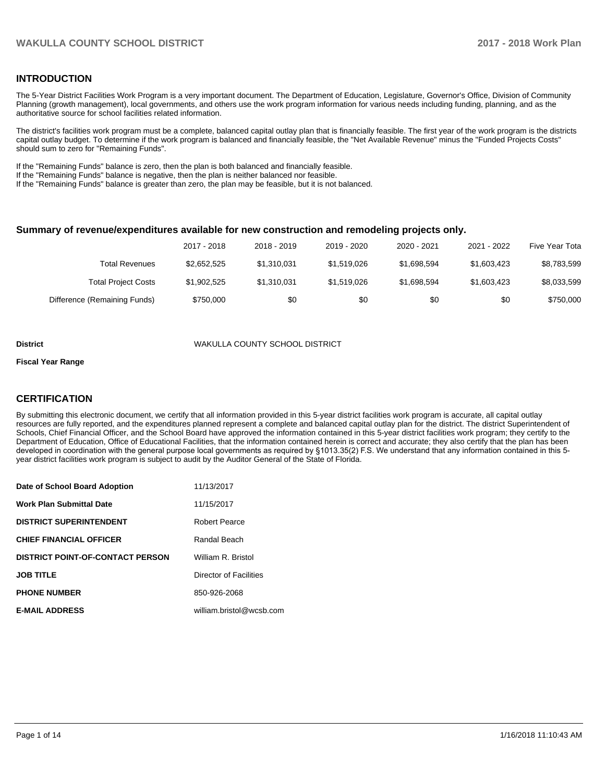## **INTRODUCTION**

The 5-Year District Facilities Work Program is a very important document. The Department of Education, Legislature, Governor's Office, Division of Community Planning (growth management), local governments, and others use the work program information for various needs including funding, planning, and as the authoritative source for school facilities related information.

The district's facilities work program must be a complete, balanced capital outlay plan that is financially feasible. The first year of the work program is the districts capital outlay budget. To determine if the work program is balanced and financially feasible, the "Net Available Revenue" minus the "Funded Projects Costs" should sum to zero for "Remaining Funds".

If the "Remaining Funds" balance is zero, then the plan is both balanced and financially feasible.

If the "Remaining Funds" balance is negative, then the plan is neither balanced nor feasible.

If the "Remaining Funds" balance is greater than zero, the plan may be feasible, but it is not balanced.

#### **Summary of revenue/expenditures available for new construction and remodeling projects only.**

| Five Year Tota | 2021 - 2022 | 2020 - 2021 | 2019 - 2020 | 2018 - 2019 | 2017 - 2018 |                              |
|----------------|-------------|-------------|-------------|-------------|-------------|------------------------------|
| \$8,783,599    | \$1,603,423 | \$1.698.594 | \$1.519.026 | \$1,310,031 | \$2,652,525 | Total Revenues               |
| \$8,033,599    | \$1,603,423 | \$1,698,594 | \$1.519.026 | \$1,310,031 | \$1,902,525 | <b>Total Project Costs</b>   |
| \$750,000      | \$0         | \$0         | \$0         | \$0         | \$750,000   | Difference (Remaining Funds) |

#### **District** WAKULLA COUNTY SCHOOL DISTRICT

#### **Fiscal Year Range**

## **CERTIFICATION**

By submitting this electronic document, we certify that all information provided in this 5-year district facilities work program is accurate, all capital outlay resources are fully reported, and the expenditures planned represent a complete and balanced capital outlay plan for the district. The district Superintendent of Schools, Chief Financial Officer, and the School Board have approved the information contained in this 5-year district facilities work program; they certify to the Department of Education, Office of Educational Facilities, that the information contained herein is correct and accurate; they also certify that the plan has been developed in coordination with the general purpose local governments as required by §1013.35(2) F.S. We understand that any information contained in this 5year district facilities work program is subject to audit by the Auditor General of the State of Florida.

| Date of School Board Adoption           | 11/13/2017               |
|-----------------------------------------|--------------------------|
| <b>Work Plan Submittal Date</b>         | 11/15/2017               |
| <b>DISTRICT SUPERINTENDENT</b>          | <b>Robert Pearce</b>     |
| <b>CHIEF FINANCIAL OFFICER</b>          | Randal Beach             |
| <b>DISTRICT POINT-OF-CONTACT PERSON</b> | William R. Bristol       |
| <b>JOB TITLE</b>                        | Director of Facilities   |
| <b>PHONE NUMBER</b>                     | 850-926-2068             |
| <b>E-MAIL ADDRESS</b>                   | william.bristol@wcsb.com |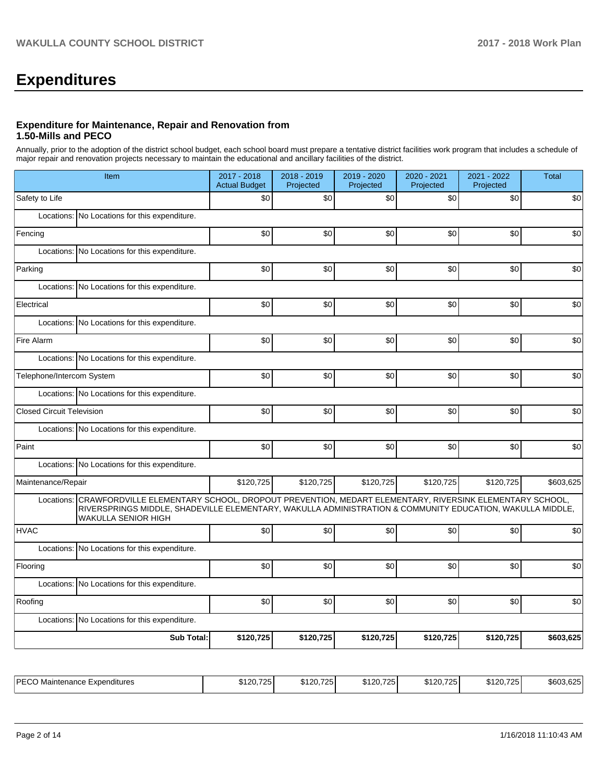# **Expenditures**

### **Expenditure for Maintenance, Repair and Renovation from 1.50-Mills and PECO**

Annually, prior to the adoption of the district school budget, each school board must prepare a tentative district facilities work program that includes a schedule of major repair and renovation projects necessary to maintain the educational and ancillary facilities of the district.

|                                  | Item                                                                                                                                                                                                                                                       | 2017 - 2018<br><b>Actual Budget</b> | 2018 - 2019<br>Projected | 2019 - 2020<br>Projected | 2020 - 2021<br>Projected | 2021 - 2022<br>Projected | <b>Total</b> |
|----------------------------------|------------------------------------------------------------------------------------------------------------------------------------------------------------------------------------------------------------------------------------------------------------|-------------------------------------|--------------------------|--------------------------|--------------------------|--------------------------|--------------|
| Safety to Life                   |                                                                                                                                                                                                                                                            | \$0                                 | \$0                      | \$0                      | \$0                      | \$0                      | \$0          |
|                                  | Locations: No Locations for this expenditure.                                                                                                                                                                                                              |                                     |                          |                          |                          |                          |              |
| Fencing                          |                                                                                                                                                                                                                                                            | \$0                                 | \$0                      | \$0                      | \$0                      | \$0                      | \$0          |
|                                  | Locations: No Locations for this expenditure.                                                                                                                                                                                                              |                                     |                          |                          |                          |                          |              |
| Parking                          |                                                                                                                                                                                                                                                            | \$0                                 | \$0                      | \$0                      | \$0                      | \$0                      | \$0          |
|                                  | Locations: No Locations for this expenditure.                                                                                                                                                                                                              |                                     |                          |                          |                          |                          |              |
| Electrical                       |                                                                                                                                                                                                                                                            | \$0                                 | \$0                      | \$0                      | \$0                      | \$0                      | \$0          |
|                                  | Locations: No Locations for this expenditure.                                                                                                                                                                                                              |                                     |                          |                          |                          |                          |              |
| Fire Alarm                       |                                                                                                                                                                                                                                                            | \$0                                 | \$0                      | \$0                      | \$0                      | \$0                      | \$0          |
|                                  | Locations: No Locations for this expenditure.                                                                                                                                                                                                              |                                     |                          |                          |                          |                          |              |
| Telephone/Intercom System        |                                                                                                                                                                                                                                                            | \$0                                 | \$0                      | \$0                      | \$0                      | \$0                      | \$0          |
|                                  | Locations: No Locations for this expenditure.                                                                                                                                                                                                              |                                     |                          |                          |                          |                          |              |
| <b>Closed Circuit Television</b> |                                                                                                                                                                                                                                                            | \$0                                 | \$0                      | \$0                      | \$0                      | \$0                      | \$0          |
|                                  | Locations: No Locations for this expenditure.                                                                                                                                                                                                              |                                     |                          |                          |                          |                          |              |
| Paint                            |                                                                                                                                                                                                                                                            | \$0                                 | \$0                      | \$0                      | \$0                      | \$0                      | \$0          |
|                                  | Locations: No Locations for this expenditure.                                                                                                                                                                                                              |                                     |                          |                          |                          |                          |              |
| Maintenance/Repair               |                                                                                                                                                                                                                                                            | \$120,725                           | \$120,725                | \$120,725                | \$120,725                | \$120,725                | \$603,625    |
|                                  | Locations: CRAWFORDVILLE ELEMENTARY SCHOOL, DROPOUT PREVENTION, MEDART ELEMENTARY, RIVERSINK ELEMENTARY SCHOOL,<br>RIVERSPRINGS MIDDLE, SHADEVILLE ELEMENTARY, WAKULLA ADMINISTRATION & COMMUNITY EDUCATION, WAKULLA MIDDLE,<br><b>WAKULLA SENIOR HIGH</b> |                                     |                          |                          |                          |                          |              |
| <b>HVAC</b>                      |                                                                                                                                                                                                                                                            | \$0                                 | \$0                      | \$0                      | \$0                      | \$0                      | \$0          |
|                                  | Locations: No Locations for this expenditure.                                                                                                                                                                                                              |                                     |                          |                          |                          |                          |              |
| Flooring                         |                                                                                                                                                                                                                                                            | \$0                                 | \$0                      | \$0                      | \$0                      | \$0                      | \$0          |
|                                  | Locations: No Locations for this expenditure.                                                                                                                                                                                                              |                                     |                          |                          |                          |                          |              |
| Roofing                          |                                                                                                                                                                                                                                                            | \$0                                 | \$0                      | \$0                      | \$0                      | \$0                      | \$0          |
|                                  | Locations: No Locations for this expenditure.                                                                                                                                                                                                              |                                     |                          |                          |                          |                          |              |
|                                  | <b>Sub Total:</b>                                                                                                                                                                                                                                          | \$120,725                           | \$120,725                | \$120,725                | \$120,725                | \$120,725                | \$603,625    |
|                                  |                                                                                                                                                                                                                                                            |                                     |                          |                          |                          |                          |              |

| IPIC<br>⊨xpenditures<br>Nntenance E.<br>Mai<br>$-0$ | \$120,725<br><b>Contract Contract Contract Contract</b> | \$120.725<br>، د ب | \$120.725 | \$120.7251 | \$120.725 | \$603.62. |
|-----------------------------------------------------|---------------------------------------------------------|--------------------|-----------|------------|-----------|-----------|
|-----------------------------------------------------|---------------------------------------------------------|--------------------|-----------|------------|-----------|-----------|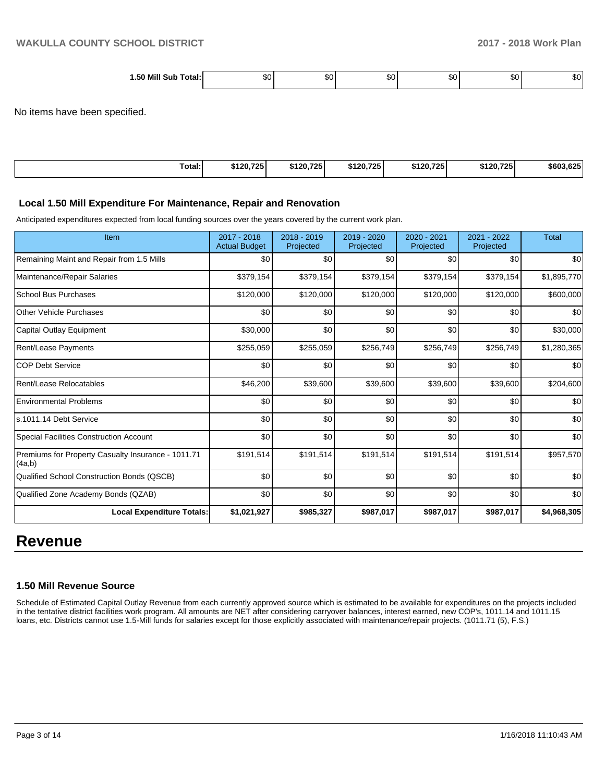| . .50 Mill<br>Sub<br>Total:, |  | ות. | ىاھ | ות. |  |
|------------------------------|--|-----|-----|-----|--|
| __<br>_ _ _ _ _ _ _ _ _      |  |     |     |     |  |

No items have been specified.

| Total:<br>\$120,725 | \$120,725 | \$120,725 | \$120,725 | \$120,7251 | \$603.625 |
|---------------------|-----------|-----------|-----------|------------|-----------|

#### **Local 1.50 Mill Expenditure For Maintenance, Repair and Renovation**

Anticipated expenditures expected from local funding sources over the years covered by the current work plan.

| Item                                                         | 2017 - 2018<br><b>Actual Budget</b> | 2018 - 2019<br>Projected | 2019 - 2020<br>Projected | $2020 - 2021$<br>Projected | 2021 - 2022<br>Projected | <b>Total</b> |
|--------------------------------------------------------------|-------------------------------------|--------------------------|--------------------------|----------------------------|--------------------------|--------------|
| Remaining Maint and Repair from 1.5 Mills                    | \$0                                 | \$0                      | \$0                      | \$0                        | \$0                      | \$0          |
| Maintenance/Repair Salaries                                  | \$379,154                           | \$379,154                | \$379,154                | \$379,154                  | \$379,154                | \$1,895,770  |
| <b>School Bus Purchases</b>                                  | \$120,000                           | \$120,000                | \$120,000                | \$120,000                  | \$120,000                | \$600,000    |
| <b>Other Vehicle Purchases</b>                               | \$0                                 | \$0                      | \$0                      | \$0                        | \$0                      | \$0          |
| Capital Outlay Equipment                                     | \$30,000                            | \$0                      | \$0                      | \$0                        | \$0                      | \$30,000     |
| <b>Rent/Lease Payments</b>                                   | \$255,059                           | \$255,059                | \$256,749                | \$256,749                  | \$256,749                | \$1,280,365  |
| <b>COP Debt Service</b>                                      | \$0                                 | \$0                      | \$0                      | \$0                        | \$0                      | \$0          |
| Rent/Lease Relocatables                                      | \$46,200                            | \$39,600                 | \$39,600                 | \$39,600                   | \$39,600                 | \$204,600    |
| <b>Environmental Problems</b>                                | \$0                                 | \$0                      | \$0                      | \$0                        | \$0                      | \$0          |
| ls.1011.14 Debt Service                                      | \$0                                 | \$0                      | \$0                      | \$0                        | \$0                      | \$0          |
| Special Facilities Construction Account                      | \$0                                 | \$0                      | \$0                      | \$0                        | \$0                      | \$0          |
| Premiums for Property Casualty Insurance - 1011.71<br>(4a,b) | \$191,514                           | \$191,514                | \$191,514                | \$191,514                  | \$191,514                | \$957,570    |
| Qualified School Construction Bonds (QSCB)                   | \$0                                 | \$0                      | \$0                      | \$0                        | \$0                      | \$0          |
| Qualified Zone Academy Bonds (QZAB)                          | \$0                                 | \$0                      | \$0                      | \$0                        | \$0                      | \$0          |
| <b>Local Expenditure Totals:</b>                             | \$1,021,927                         | \$985,327                | \$987,017                | \$987,017                  | \$987,017                | \$4,968,305  |

## **Revenue**

## **1.50 Mill Revenue Source**

Schedule of Estimated Capital Outlay Revenue from each currently approved source which is estimated to be available for expenditures on the projects included in the tentative district facilities work program. All amounts are NET after considering carryover balances, interest earned, new COP's, 1011.14 and 1011.15 loans, etc. Districts cannot use 1.5-Mill funds for salaries except for those explicitly associated with maintenance/repair projects. (1011.71 (5), F.S.)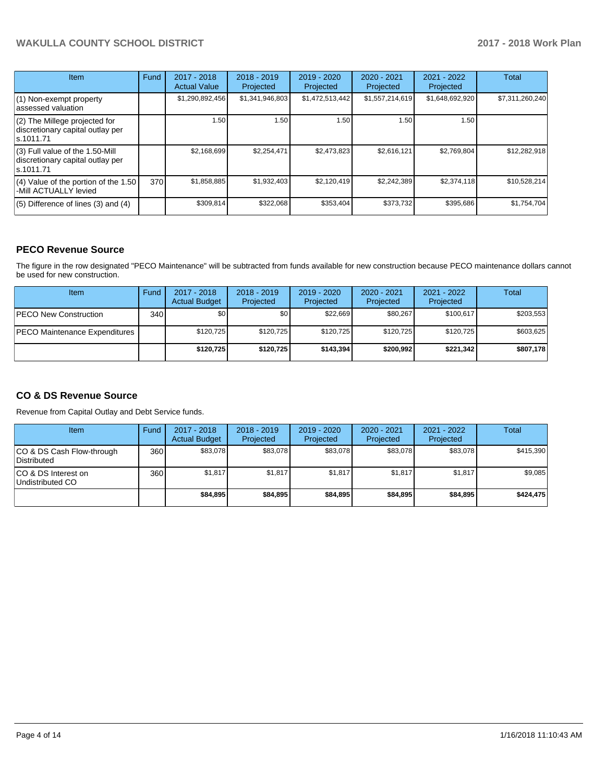## **WAKULLA COUNTY SCHOOL DISTRICT 2017 - 2018 Work Plan**

| Item                                                                                | Fund | 2017 - 2018<br><b>Actual Value</b> | $2018 - 2019$<br>Projected | $2019 - 2020$<br>Projected | $2020 - 2021$<br>Projected | $2021 - 2022$<br>Projected | <b>Total</b>    |
|-------------------------------------------------------------------------------------|------|------------------------------------|----------------------------|----------------------------|----------------------------|----------------------------|-----------------|
| $(1)$ Non-exempt property<br>lassessed valuation                                    |      | \$1,290,892,456                    | \$1,341,946,803            | \$1,472,513,442            | \$1,557,214,619            | \$1,648,692,920            | \$7,311,260,240 |
| $(2)$ The Millege projected for<br>discretionary capital outlay per<br>ls.1011.71   |      | 1.50                               | 1.50                       | 1.50                       | 1.50                       | 1.50                       |                 |
| $(3)$ Full value of the 1.50-Mill<br>discretionary capital outlay per<br>ls.1011.71 |      | \$2,168,699                        | \$2,254,471                | \$2,473,823                | \$2.616.121                | \$2,769,804                | \$12,282,918    |
| $(4)$ Value of the portion of the 1.50<br>-Mill ACTUALLY levied                     | 370I | \$1,858,885                        | \$1,932,403                | \$2,120,419                | \$2,242,389                | \$2,374,118                | \$10,528,214    |
| $(5)$ Difference of lines $(3)$ and $(4)$                                           |      | \$309,814                          | \$322,068                  | \$353,404                  | \$373,732                  | \$395,686                  | \$1,754,704     |

## **PECO Revenue Source**

The figure in the row designated "PECO Maintenance" will be subtracted from funds available for new construction because PECO maintenance dollars cannot be used for new construction.

| <b>Item</b>                           | Fund | $2017 - 2018$<br><b>Actual Budget</b> | $2018 - 2019$<br>Projected | $2019 - 2020$<br>Projected | $2020 - 2021$<br>Projected | $2021 - 2022$<br>Projected | <b>Total</b> |
|---------------------------------------|------|---------------------------------------|----------------------------|----------------------------|----------------------------|----------------------------|--------------|
| <b>PECO New Construction</b>          | 340  | \$0                                   | \$0 <sub>1</sub>           | \$22.669                   | \$80,267                   | \$100,617                  | \$203,553    |
| <b>IPECO Maintenance Expenditures</b> |      | \$120.725                             | \$120.725                  | \$120.725                  | \$120.725                  | \$120.725                  | \$603,625    |
|                                       |      | \$120,725                             | \$120.725                  | \$143,394                  | \$200.992                  | \$221.342                  | \$807.178    |

## **CO & DS Revenue Source**

Revenue from Capital Outlay and Debt Service funds.

| Item                                      | Fund | $2017 - 2018$<br><b>Actual Budget</b> | $2018 - 2019$<br>Projected | $2019 - 2020$<br>Projected | $2020 - 2021$<br>Projected | $2021 - 2022$<br>Projected | <b>Total</b> |
|-------------------------------------------|------|---------------------------------------|----------------------------|----------------------------|----------------------------|----------------------------|--------------|
| ICO & DS Cash Flow-through<br>Distributed | 360  | \$83.078                              | \$83,078                   | \$83.078                   | \$83.078                   | \$83,078                   | \$415,390    |
| ICO & DS Interest on<br>Undistributed CO  | 360  | \$1,817                               | \$1,817                    | \$1.817                    | \$1.817                    | \$1.817                    | \$9,085      |
|                                           |      | \$84.895                              | \$84,895                   | \$84,895                   | \$84.895                   | \$84.895                   | \$424.475    |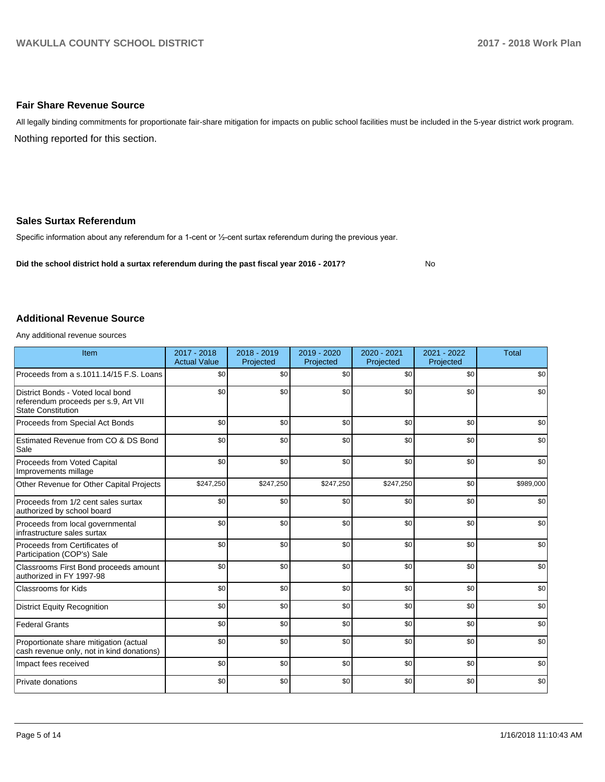### **Fair Share Revenue Source**

Nothing reported for this section. All legally binding commitments for proportionate fair-share mitigation for impacts on public school facilities must be included in the 5-year district work program.

### **Sales Surtax Referendum**

Specific information about any referendum for a 1-cent or 1/2-cent surtax referendum during the previous year.

**Did the school district hold a surtax referendum during the past fiscal year 2016 - 2017?**

No

#### **Additional Revenue Source**

Any additional revenue sources

| Item                                                                                                   | $2017 - 2018$<br><b>Actual Value</b> | $2018 - 2019$<br>Projected | 2019 - 2020<br>Projected | 2020 - 2021<br>Projected | 2021 - 2022<br>Projected | <b>Total</b> |
|--------------------------------------------------------------------------------------------------------|--------------------------------------|----------------------------|--------------------------|--------------------------|--------------------------|--------------|
| Proceeds from a s.1011.14/15 F.S. Loans                                                                | \$0                                  | \$0                        | \$0                      | \$0                      | \$0                      | \$0          |
| District Bonds - Voted local bond<br>referendum proceeds per s.9, Art VII<br><b>State Constitution</b> | \$0                                  | \$0                        | \$0                      | \$0                      | \$0                      | \$0          |
| Proceeds from Special Act Bonds                                                                        | \$0                                  | \$0                        | \$0                      | \$0                      | \$0                      | \$0          |
| Estimated Revenue from CO & DS Bond<br>Sale                                                            | \$0                                  | \$0                        | \$0                      | \$0                      | \$0                      | \$0          |
| Proceeds from Voted Capital<br>Improvements millage                                                    | \$0                                  | \$0                        | \$0                      | \$0                      | \$0                      | \$0          |
| Other Revenue for Other Capital Projects                                                               | \$247,250                            | \$247,250                  | \$247,250                | \$247,250                | \$0                      | \$989,000    |
| Proceeds from 1/2 cent sales surtax<br>authorized by school board                                      | \$0                                  | \$0                        | \$0                      | \$0                      | \$0                      | \$0          |
| Proceeds from local governmental<br>infrastructure sales surtax                                        | \$0                                  | \$0                        | \$0                      | \$0                      | \$0                      | \$0          |
| Proceeds from Certificates of<br>Participation (COP's) Sale                                            | \$0                                  | \$0                        | \$0                      | \$0                      | \$0                      | \$0          |
| Classrooms First Bond proceeds amount<br>authorized in FY 1997-98                                      | \$0                                  | \$0                        | \$0                      | \$0                      | \$0                      | \$0          |
| <b>Classrooms for Kids</b>                                                                             | \$0                                  | \$0                        | \$0                      | \$0                      | \$0                      | \$0          |
| <b>District Equity Recognition</b>                                                                     | \$0                                  | \$0                        | \$0                      | \$0                      | \$0                      | \$0          |
| <b>Federal Grants</b>                                                                                  | \$0                                  | \$0                        | \$0                      | \$0                      | \$0                      | \$0          |
| Proportionate share mitigation (actual<br>cash revenue only, not in kind donations)                    | \$0                                  | \$0                        | \$0                      | \$0                      | \$0                      | \$0          |
| Impact fees received                                                                                   | \$0                                  | \$0                        | \$0                      | \$0                      | \$0                      | \$0          |
| Private donations                                                                                      | \$0                                  | \$0                        | \$0                      | \$0                      | \$0                      | \$0          |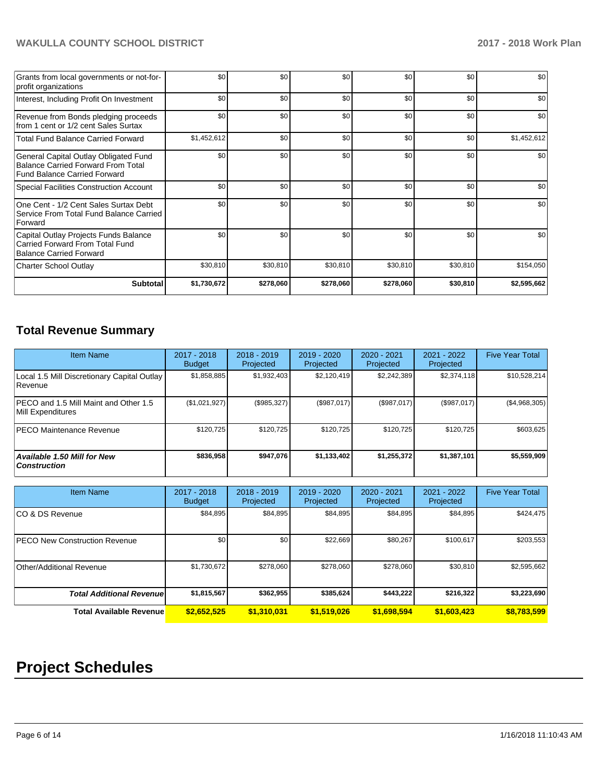## **WAKULLA COUNTY SCHOOL DISTRICT 2017 - 2018 Work Plan**

| Grants from local governments or not-for-<br>profit organizations                                                         | \$0         | \$0       | \$0       | \$0       | \$0      | \$0         |
|---------------------------------------------------------------------------------------------------------------------------|-------------|-----------|-----------|-----------|----------|-------------|
| Interest, Including Profit On Investment                                                                                  | \$0         | \$0       | \$0       | \$0       | \$0      | \$0         |
| Revenue from Bonds pledging proceeds<br>from 1 cent or 1/2 cent Sales Surtax                                              | \$0         | \$0       | \$0       | \$0       | \$0      | \$0         |
| <b>Total Fund Balance Carried Forward</b>                                                                                 | \$1,452,612 | \$0       | \$0       | \$0       | \$0      | \$1,452,612 |
| General Capital Outlay Obligated Fund<br><b>Balance Carried Forward From Total</b><br><b>Fund Balance Carried Forward</b> | \$0         | \$0       | \$0       | \$0       | \$0      | \$0         |
| Special Facilities Construction Account                                                                                   | \$0         | \$0       | \$0       | \$0       | \$0      | \$0         |
| One Cent - 1/2 Cent Sales Surtax Debt<br>Service From Total Fund Balance Carried<br>Forward                               | \$0         | \$0       | \$0       | \$0       | \$0      | \$0         |
| Capital Outlay Projects Funds Balance<br>Carried Forward From Total Fund<br><b>Balance Carried Forward</b>                | \$0         | \$0       | \$0       | \$0       | \$0      | \$0         |
| Charter School Outlay                                                                                                     | \$30,810    | \$30,810  | \$30,810  | \$30,810  | \$30,810 | \$154,050   |
| <b>Subtotal</b>                                                                                                           | \$1,730,672 | \$278,060 | \$278,060 | \$278,060 | \$30,810 | \$2,595,662 |

## **Total Revenue Summary**

| Item Name                                                     | $2017 - 2018$<br><b>Budget</b> | $2018 - 2019$<br>Projected | $2019 - 2020$<br>Projected | $2020 - 2021$<br>Projected | $2021 - 2022$<br>Projected | <b>Five Year Total</b> |
|---------------------------------------------------------------|--------------------------------|----------------------------|----------------------------|----------------------------|----------------------------|------------------------|
| Local 1.5 Mill Discretionary Capital Outlay<br><b>Revenue</b> | \$1,858,885                    | \$1,932,403                | \$2,120,419                | \$2,242,389                | \$2,374,118                | \$10,528,214           |
| PECO and 1.5 Mill Maint and Other 1.5<br>Mill Expenditures    | (\$1,021,927)                  | (\$985,327)                | (\$987,017)                | (\$987,017)                | (\$987,017)                | (\$4,968,305)          |
| <b>PECO Maintenance Revenue</b>                               | \$120,725                      | \$120,725                  | \$120,725                  | \$120,725                  | \$120,725                  | \$603,625              |
| <b>Available 1.50 Mill for New</b><br>  Construction          | \$836,958                      | \$947,076                  | \$1,133,402                | \$1,255,372                | \$1,387,101                | \$5,559,909            |

| <b>Item Name</b>                     | 2017 - 2018<br><b>Budget</b> | $2018 - 2019$<br>Projected | $2019 - 2020$<br>Projected | $2020 - 2021$<br>Projected | $2021 - 2022$<br>Projected | <b>Five Year Total</b> |
|--------------------------------------|------------------------------|----------------------------|----------------------------|----------------------------|----------------------------|------------------------|
| ICO & DS Revenue                     | \$84,895                     | \$84,895                   | \$84,895                   | \$84,895                   | \$84,895                   | \$424,475              |
| <b>PECO New Construction Revenue</b> | \$0                          | \$0                        | \$22.669                   | \$80,267                   | \$100,617                  | \$203,553              |
| Other/Additional Revenue             | \$1,730,672                  | \$278,060                  | \$278.060                  | \$278,060                  | \$30,810                   | \$2,595,662            |
| <b>Total Additional Revenue</b>      | \$1,815,567                  | \$362,955                  | \$385,624                  | \$443,222                  | \$216,322                  | \$3,223,690            |
| <b>Total Available Revenue</b>       | \$2,652,525                  | \$1,310,031                | \$1,519,026                | \$1,698,594                | \$1,603,423                | \$8,783,599            |

# **Project Schedules**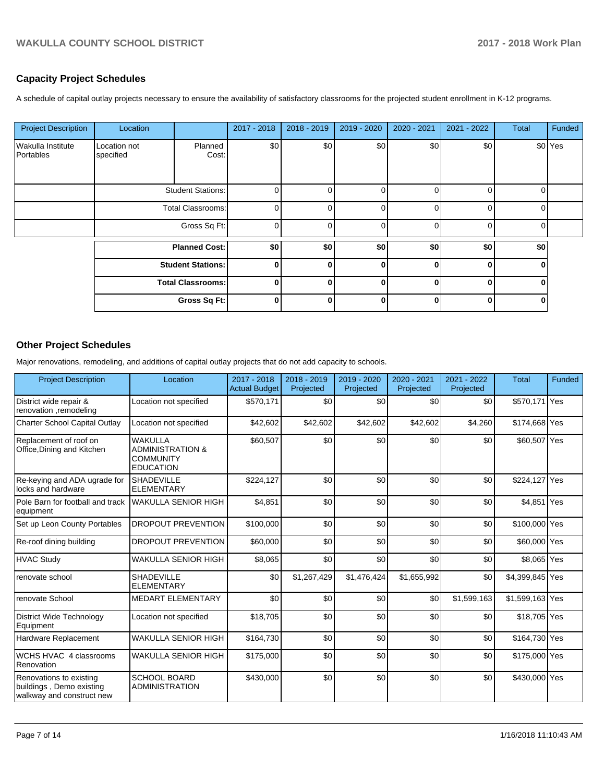## **Capacity Project Schedules**

A schedule of capital outlay projects necessary to ensure the availability of satisfactory classrooms for the projected student enrollment in K-12 programs.

| <b>Project Description</b>     | Location                  |                          | 2017 - 2018  | $2018 - 2019$ | 2019 - 2020 | 2020 - 2021 | 2021 - 2022  | <b>Total</b> | Funded  |
|--------------------------------|---------------------------|--------------------------|--------------|---------------|-------------|-------------|--------------|--------------|---------|
| Wakulla Institute<br>Portables | Location not<br>specified | Planned<br>Cost:         | \$0          | \$0           | \$0         | \$0         | \$0          |              | \$0 Yes |
|                                | <b>Student Stations:</b>  |                          | 0            |               | 0           | U           | $\Omega$     | 0            |         |
|                                | <b>Total Classrooms:</b>  |                          | 0            |               |             | U           | <sup>n</sup> | O            |         |
|                                | Gross Sq Ft:              |                          | 0            | 0             | $\Omega$    | $\Omega$    | $\Omega$     | 0            |         |
|                                | <b>Planned Cost:</b>      |                          | \$0          | \$0           | \$0         | \$0         | \$0          | \$0          |         |
|                                |                           | <b>Student Stations:</b> | O            | U             | $\bf{0}$    | O           | $\bf{0}$     | ŋ            |         |
|                                |                           | <b>Total Classrooms:</b> | 0            | 0             | 0           | 0           | $\bf{0}$     | 0            |         |
|                                |                           | Gross Sq Ft:             | <sup>0</sup> | 0             | $\bf{0}$    | O           | $\bf{0}$     | 0            |         |

## **Other Project Schedules**

Major renovations, remodeling, and additions of capital outlay projects that do not add capacity to schools.

| <b>Project Description</b>                                                       | Location                                                                              | 2017 - 2018<br><b>Actual Budget</b> | 2018 - 2019<br>Projected | 2019 - 2020<br>Projected | $2020 - 2021$<br>Projected | 2021 - 2022<br>Projected | <b>Total</b>    | Funded |
|----------------------------------------------------------------------------------|---------------------------------------------------------------------------------------|-------------------------------------|--------------------------|--------------------------|----------------------------|--------------------------|-----------------|--------|
| District wide repair &<br>renovation ,remodeling                                 | Location not specified                                                                | \$570,171                           | \$0                      | \$0                      | \$0                        | \$0                      | \$570,171 Yes   |        |
| <b>Charter School Capital Outlay</b>                                             | Location not specified                                                                | \$42,602                            | \$42,602                 | \$42,602                 | \$42,602                   | \$4,260                  | \$174,668 Yes   |        |
| Replacement of roof on<br>Office, Dining and Kitchen                             | <b>WAKULLA</b><br><b>ADMINISTRATION &amp;</b><br><b>COMMUNITY</b><br><b>EDUCATION</b> | \$60,507                            | \$0                      | \$0                      | \$0                        | \$0                      | \$60,507 Yes    |        |
| Re-keying and ADA ugrade for<br>locks and hardware                               | <b>SHADEVILLE</b><br><b>ELEMENTARY</b>                                                | \$224,127                           | \$0                      | \$0                      | \$0                        | \$0                      | \$224,127 Yes   |        |
| Pole Barn for football and track<br>equipment                                    | <b>WAKULLA SENIOR HIGH</b>                                                            | \$4,851                             | \$0                      | \$0                      | \$0                        | \$0                      | \$4,851 Yes     |        |
| Set up Leon County Portables                                                     | DROPOUT PREVENTION                                                                    | \$100,000                           | \$0                      | \$0                      | \$0                        | \$0                      | \$100,000 Yes   |        |
| Re-roof dining building                                                          | <b>DROPOUT PREVENTION</b>                                                             | \$60,000                            | \$0                      | \$0                      | \$0                        | \$0                      | \$60,000 Yes    |        |
| <b>HVAC Study</b>                                                                | <b>WAKULLA SENIOR HIGH</b>                                                            | \$8,065                             | \$0                      | \$0                      | \$0                        | \$0                      | \$8,065 Yes     |        |
| renovate school                                                                  | <b>SHADEVILLE</b><br><b>ELEMENTARY</b>                                                | \$0                                 | \$1,267,429              | \$1,476,424              | \$1,655,992                | \$0                      | \$4,399,845 Yes |        |
| renovate School                                                                  | <b>MEDART ELEMENTARY</b>                                                              | \$0                                 | \$0                      | \$0                      | \$0                        | \$1,599,163              | \$1,599,163 Yes |        |
| <b>District Wide Technology</b><br>Equipment                                     | Location not specified                                                                | \$18,705                            | \$0                      | \$0                      | \$0                        | \$0                      | \$18,705 Yes    |        |
| Hardware Replacement                                                             | <b>WAKULLA SENIOR HIGH</b>                                                            | \$164,730                           | \$0                      | \$0                      | \$0                        | \$0                      | \$164,730 Yes   |        |
| WCHS HVAC 4 classrooms<br>Renovation                                             | <b>WAKULLA SENIOR HIGH</b>                                                            | \$175,000                           | \$0                      | \$0                      | \$0                        | \$0                      | \$175,000 Yes   |        |
| Renovations to existing<br>buildings, Demo existing<br>walkway and construct new | <b>SCHOOL BOARD</b><br><b>ADMINISTRATION</b>                                          | \$430,000                           | \$0                      | \$0                      | \$0                        | \$0                      | \$430,000 Yes   |        |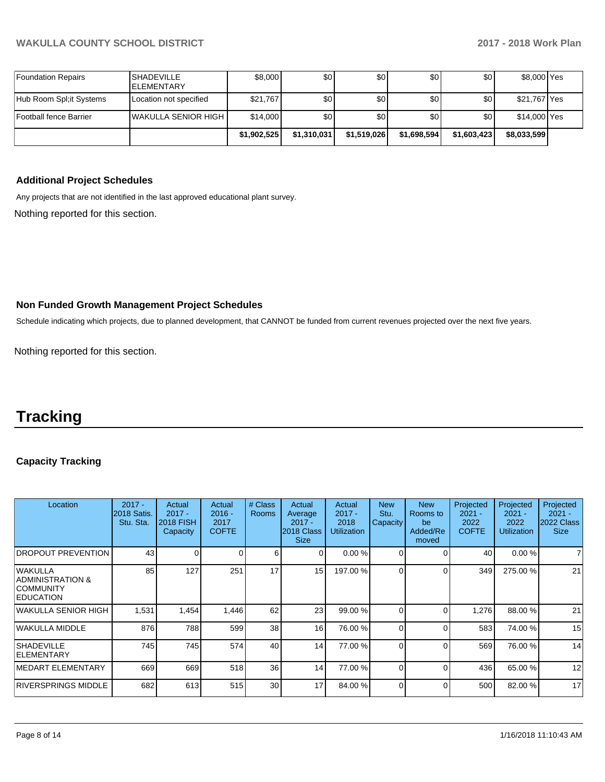| Foundation Repairs      | <b>SHADEVILLE</b><br><b>IELEMENTARY</b> | \$8,000     | \$0         | \$0         | \$0         | \$0         | \$8,000 Yes  |  |
|-------------------------|-----------------------------------------|-------------|-------------|-------------|-------------|-------------|--------------|--|
| Hub Room Spl;it Systems | Location not specified                  | \$21,767    | \$0         | \$0         | \$0         | \$٥١        | \$21,767 Yes |  |
| Football fence Barrier  | <b>IWAKULLA SENIOR HIGH</b>             | \$14,000    | \$0         | \$0         | \$0         | \$٥١        | \$14,000 Yes |  |
|                         |                                         | \$1,902,525 | \$1,310,031 | \$1,519,026 | \$1,698,594 | \$1,603,423 | \$8,033,599  |  |

## **Additional Project Schedules**

Any projects that are not identified in the last approved educational plant survey.

Nothing reported for this section.

## **Non Funded Growth Management Project Schedules**

Schedule indicating which projects, due to planned development, that CANNOT be funded from current revenues projected over the next five years.

Nothing reported for this section.

## **Tracking**

## **Capacity Tracking**

| Location                                                             | $2017 -$<br>2018 Satis.<br>Stu. Sta. | Actual<br>$2017 -$<br><b>2018 FISH</b><br>Capacity | Actual<br>$2016 -$<br>2017<br><b>COFTE</b> | # Class<br><b>Rooms</b> | Actual<br>Average<br>$2017 -$<br>2018 Class<br><b>Size</b> | Actual<br>$2017 -$<br>2018<br><b>Utilization</b> | <b>New</b><br>Stu.<br>Capacity | <b>New</b><br>Rooms to<br>be<br>Added/Re<br>moved | Projected<br>$2021 -$<br>2022<br><b>COFTE</b> | Projected<br>$2021 -$<br>2022<br><b>Utilization</b> | Projected<br>$2021 -$<br>2022 Class<br><b>Size</b> |
|----------------------------------------------------------------------|--------------------------------------|----------------------------------------------------|--------------------------------------------|-------------------------|------------------------------------------------------------|--------------------------------------------------|--------------------------------|---------------------------------------------------|-----------------------------------------------|-----------------------------------------------------|----------------------------------------------------|
| <b>DROPOUT PREVENTION</b>                                            | 43                                   | 0                                                  |                                            | 6                       |                                                            | 0.00%                                            |                                | ∩                                                 | 40                                            | 0.00%                                               |                                                    |
| lwakulla<br>ADMINISTRATION &<br><b>COMMUNITY</b><br><b>EDUCATION</b> | 85                                   | 127                                                | 251                                        | 17                      | 15                                                         | 197.00 %                                         |                                | $\Omega$                                          | 349                                           | 275.00 %                                            | 21                                                 |
| WAKULLA SENIOR HIGH                                                  | 1,531                                | 1,454                                              | 1,446                                      | 62                      | 23                                                         | 99.00 %                                          | 0                              | $\Omega$                                          | 1,276                                         | 88.00 %                                             | 21                                                 |
| WAKULLA MIDDLE                                                       | 876                                  | 788                                                | 599                                        | 38                      | 16                                                         | 76.00 %                                          | 0                              | $\Omega$                                          | 583                                           | 74.00 %                                             | 15                                                 |
| <b>SHADEVILLE</b><br><b>IELEMENTARY</b>                              | 745                                  | 745                                                | 574                                        | 40                      | 14                                                         | 77.00 %                                          | 0                              | $\Omega$                                          | 569                                           | 76.00 %                                             | 14                                                 |
| <b>IMEDART ELEMENTARY</b>                                            | 669                                  | 669                                                | 518                                        | 36 <sup>1</sup>         | 14                                                         | 77.00 %                                          | 0                              | $\Omega$                                          | 436                                           | 65.00 %                                             | 12                                                 |
| RIVERSPRINGS MIDDLE                                                  | 682                                  | 613                                                | 515                                        | 30 <sub>l</sub>         | 17                                                         | 84.00 %                                          | 0                              | $\Omega$                                          | 500                                           | 82.00 %                                             | 17                                                 |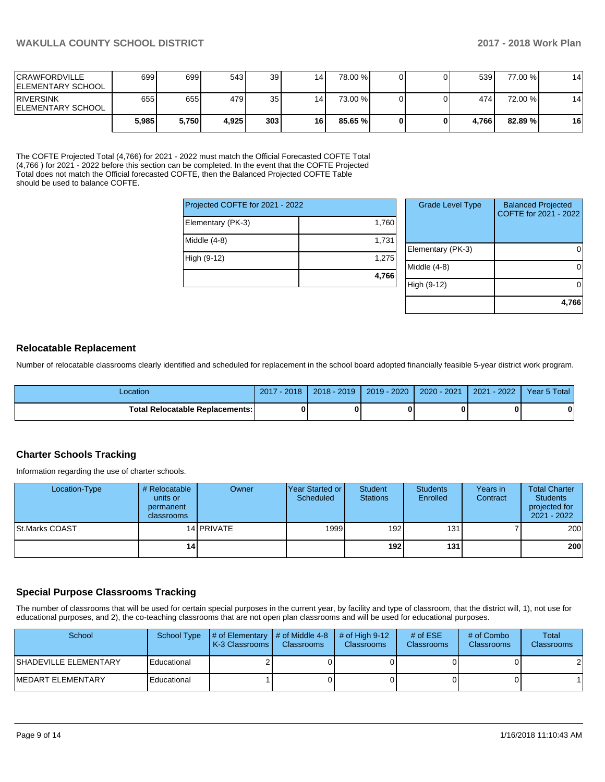| <b>ICRAWFORDVILLE</b><br><b>IELEMENTARY SCHOOL</b> | 699 <sup>1</sup> | 6991  | 543   | 39               | 14 <sub>1</sub> | 78.00 % |  | 539   | 77.00 % | 14 |
|----------------------------------------------------|------------------|-------|-------|------------------|-----------------|---------|--|-------|---------|----|
| <b>IRIVERSINK</b><br><b>IELEMENTARY SCHOOL</b>     | 655 <sup>I</sup> | 655   | 479   | 35               | 14              | 73.00 % |  | 474 l | 72.00 % | 14 |
|                                                    | 5.985            | 5.750 | 4.925 | 303 <sub>1</sub> | 16              | 85.65 % |  | 4.766 | 82.89 % | 16 |

The COFTE Projected Total (4,766) for 2021 - 2022 must match the Official Forecasted COFTE Total (4,766 ) for 2021 - 2022 before this section can be completed. In the event that the COFTE Projected Total does not match the Official forecasted COFTE, then the Balanced Projected COFTE Table should be used to balance COFTE.

| Projected COFTE for 2021 - 2022 |       |
|---------------------------------|-------|
| Elementary (PK-3)               | 1,760 |
| Middle (4-8)                    | 1,731 |
| High (9-12)                     | 1,275 |
|                                 | 4,766 |

| <b>Grade Level Type</b> | <b>Balanced Projected</b><br>COFTE for 2021 - 2022 |
|-------------------------|----------------------------------------------------|
| Elementary (PK-3)       |                                                    |
| Middle (4-8)            |                                                    |
| High (9-12)             |                                                    |
|                         | 4,766                                              |

#### **Relocatable Replacement**

Number of relocatable classrooms clearly identified and scheduled for replacement in the school board adopted financially feasible 5-year district work program.

| Location                               | $-2018$<br>2017 | $2018 - 2019$ | 2019 - 2020 | $2020 - 2021$ | 2021<br>$-2022$ | Year 5 Total |
|----------------------------------------|-----------------|---------------|-------------|---------------|-----------------|--------------|
| <b>Total Relocatable Replacements:</b> | ŋ               |               |             |               |                 |              |

#### **Charter Schools Tracking**

Information regarding the use of charter schools.

| Location-Type  | # Relocatable<br>units or<br>permanent<br><b>classrooms</b> | Owner      | Year Started or I<br>Scheduled | Student<br><b>Stations</b> | <b>Students</b><br>Enrolled | Years in<br>Contract | <b>Total Charter</b><br><b>Students</b><br>projected for<br>2021 - 2022 |
|----------------|-------------------------------------------------------------|------------|--------------------------------|----------------------------|-----------------------------|----------------------|-------------------------------------------------------------------------|
| St.Marks COAST |                                                             | 14 PRIVATE | 1999                           | 192                        | 131                         |                      | 200                                                                     |
|                | 14                                                          |            |                                | 192 <sub>l</sub>           | 131 <sup>1</sup>            |                      | 200                                                                     |

#### **Special Purpose Classrooms Tracking**

The number of classrooms that will be used for certain special purposes in the current year, by facility and type of classroom, that the district will, 1), not use for educational purposes, and 2), the co-teaching classrooms that are not open plan classrooms and will be used for educational purposes.

| School                       | School Type | $\parallel \#$ of Elementary $\parallel \#$ of Middle 4-8 $\parallel$<br><b>K-3 Classrooms L</b> | <b>Classrooms</b> | $\#$ of High 9-12<br><b>Classrooms</b> | # of $ESE$<br><b>Classrooms</b> | # of Combo<br><b>Classrooms</b> | Total<br><b>Classrooms</b> |
|------------------------------|-------------|--------------------------------------------------------------------------------------------------|-------------------|----------------------------------------|---------------------------------|---------------------------------|----------------------------|
| <b>SHADEVILLE ELEMENTARY</b> | Educational |                                                                                                  |                   |                                        |                                 |                                 | 2                          |
| <b>MEDART ELEMENTARY</b>     | Educational |                                                                                                  |                   |                                        |                                 |                                 |                            |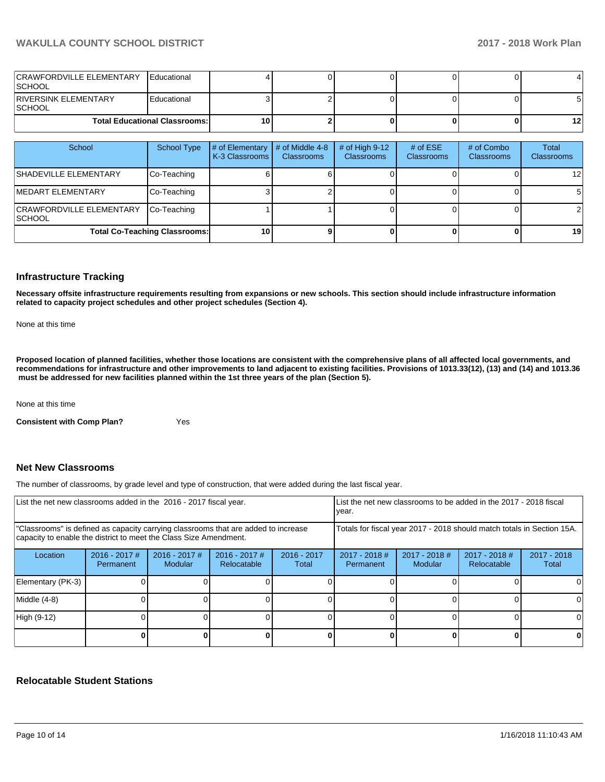## **WAKULLA COUNTY SCHOOL DISTRICT 2017 - 2018 Work Plan**

| CRAWFORDVILLE ELEMENTARY<br><b>SCHOOL</b> | <b>Educational</b> |    |  |  |     |
|-------------------------------------------|--------------------|----|--|--|-----|
| RIVERSINK ELEMENTARY<br><b>SCHOOL</b>     | Educational        |    |  |  |     |
| <b>Total Educational Classrooms:</b>      |                    | 10 |  |  | 12. |

| School                                            | School Type | # of Elementary<br>K-3 Classrooms | # of Middle 4-8<br><b>Classrooms</b> | # of High $9-12$<br><b>Classrooms</b> | # of $ESE$<br><b>Classrooms</b> | # of Combo<br><b>Classrooms</b> | Total<br><b>Classrooms</b> |
|---------------------------------------------------|-------------|-----------------------------------|--------------------------------------|---------------------------------------|---------------------------------|---------------------------------|----------------------------|
| <b>SHADEVILLE ELEMENTARY</b>                      | Co-Teaching |                                   |                                      |                                       |                                 |                                 | 12 <sub>l</sub>            |
| <b>IMEDART ELEMENTARY</b>                         | Co-Teaching |                                   |                                      |                                       |                                 |                                 | 51                         |
| <b>CRAWFORDVILLE ELEMENTARY</b><br><b>ISCHOOL</b> | Co-Teaching |                                   |                                      |                                       |                                 |                                 | $\overline{2}$             |
| <b>Total Co-Teaching Classrooms:</b>              |             | <b>101</b>                        |                                      |                                       |                                 |                                 | 19 <sup>l</sup>            |

### **Infrastructure Tracking**

**Necessary offsite infrastructure requirements resulting from expansions or new schools. This section should include infrastructure information related to capacity project schedules and other project schedules (Section 4).** 

None at this time

**Proposed location of planned facilities, whether those locations are consistent with the comprehensive plans of all affected local governments, and recommendations for infrastructure and other improvements to land adjacent to existing facilities. Provisions of 1013.33(12), (13) and (14) and 1013.36 must be addressed for new facilities planned within the 1st three years of the plan (Section 5).** 

None at this time

**Consistent with Comp Plan?** Yes

## **Net New Classrooms**

The number of classrooms, by grade level and type of construction, that were added during the last fiscal year.

| List the net new classrooms added in the 2016 - 2017 fiscal year.                                                                                       | List the net new classrooms to be added in the 2017 - 2018 fiscal<br>year. |                                   |                                |                        |                              |                          |                                                                        |                        |
|---------------------------------------------------------------------------------------------------------------------------------------------------------|----------------------------------------------------------------------------|-----------------------------------|--------------------------------|------------------------|------------------------------|--------------------------|------------------------------------------------------------------------|------------------------|
| "Classrooms" is defined as capacity carrying classrooms that are added to increase<br>capacity to enable the district to meet the Class Size Amendment. |                                                                            |                                   |                                |                        |                              |                          | Totals for fiscal year 2017 - 2018 should match totals in Section 15A. |                        |
| Location                                                                                                                                                | $2016 - 2017$ #<br>Permanent                                               | $2016 - 2017$ #<br><b>Modular</b> | $2016 - 2017$ #<br>Relocatable | $2016 - 2017$<br>Total | $2017 - 2018$ #<br>Permanent | 2017 - 2018 #<br>Modular | $2017 - 2018$ #<br>Relocatable                                         | $2017 - 2018$<br>Total |
| Elementary (PK-3)                                                                                                                                       |                                                                            |                                   |                                |                        |                              |                          |                                                                        |                        |
| Middle (4-8)                                                                                                                                            |                                                                            |                                   |                                |                        |                              |                          |                                                                        |                        |
| High (9-12)                                                                                                                                             |                                                                            |                                   |                                |                        |                              |                          |                                                                        |                        |
|                                                                                                                                                         |                                                                            |                                   |                                |                        |                              |                          |                                                                        |                        |

#### **Relocatable Student Stations**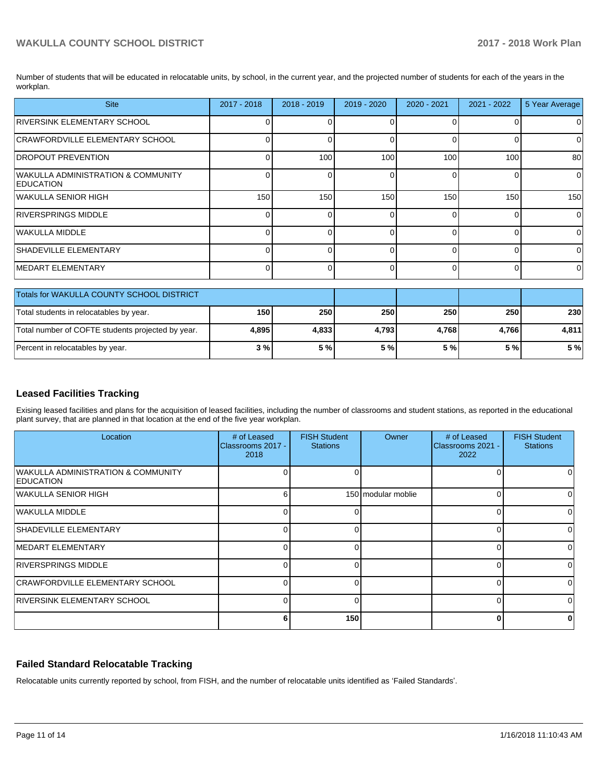Number of students that will be educated in relocatable units, by school, in the current year, and the projected number of students for each of the years in the workplan.

| <b>Site</b>                                            | 2017 - 2018 | $2018 - 2019$ | 2019 - 2020    | $2020 - 2021$ | $2021 - 2022$ | 5 Year Average |
|--------------------------------------------------------|-------------|---------------|----------------|---------------|---------------|----------------|
| RIVERSINK ELEMENTARY SCHOOL                            | 0           |               | $\Omega$       | ∩             |               | 0              |
| CRAWFORDVILLE ELEMENTARY SCHOOL                        | 0           |               | $\Omega$       | $\Omega$      | 0             | 0              |
| <b>DROPOUT PREVENTION</b>                              | $\Omega$    | 100           | 100            | 100           | 100           | 80             |
| WAKULLA ADMINISTRATION & COMMUNITY<br><b>EDUCATION</b> | $\Omega$    | U             | $\Omega$       | $\Omega$      | 0             | $\Omega$       |
| WAKULLA SENIOR HIGH                                    | 150         | 150           | 150            | 150           | 150           | 150            |
| <b>RIVERSPRINGS MIDDLE</b>                             | $\Omega$    |               | $\overline{0}$ | $\Omega$      | 0             | $\overline{0}$ |
| WAKULLA MIDDLE                                         |             |               | $\Omega$       | $\Omega$      | n             | $\Omega$       |
| <b>SHADEVILLE ELEMENTARY</b>                           | $\Omega$    |               | 0              | $\Omega$      | 0             | 0              |
| <b>IMEDART ELEMENTARY</b>                              | 0           |               | $\Omega$       | $\Omega$      | $\Omega$      | $\Omega$       |
| Totals for WAKULLA COUNTY SCHOOL DISTRICT              |             |               |                |               |               |                |
| Total students in relocatables by year.                | 150         | 250           | 250            | 250           | 250           | 230            |
| Total number of COFTE students projected by year.      | 4,895       | 4,833         | 4,793          | 4,768         | 4,766         | 4,811          |
| Percent in relocatables by year.                       | 3%          | 5 %           | 5%             | 5%            | 5%            | 5 %            |

## **Leased Facilities Tracking**

Exising leased facilities and plans for the acquisition of leased facilities, including the number of classrooms and student stations, as reported in the educational plant survey, that are planned in that location at the end of the five year workplan.

| Location                                                   | # of Leased<br>Classrooms 2017 -<br>2018 | <b>FISH Student</b><br><b>Stations</b> | Owner              | # of Leased<br>Classrooms 2021 -<br>2022 | <b>FISH Student</b><br><b>Stations</b> |
|------------------------------------------------------------|------------------------------------------|----------------------------------------|--------------------|------------------------------------------|----------------------------------------|
| <b>WAKULLA ADMINISTRATION &amp; COMMUNITY</b><br>EDUCATION |                                          |                                        |                    |                                          |                                        |
| WAKULLA SENIOR HIGH                                        | 6                                        |                                        | 150 modular moblie |                                          |                                        |
| lWAKULLA MIDDLE                                            | ∩                                        |                                        |                    |                                          | 0                                      |
| <b>SHADEVILLE ELEMENTARY</b>                               |                                          |                                        |                    |                                          | n                                      |
| <b>IMEDART ELEMENTARY</b>                                  |                                          |                                        |                    |                                          | O.                                     |
| IRIVERSPRINGS MIDDLE                                       | O                                        |                                        |                    |                                          | 0                                      |
| <b>CRAWFORDVILLE ELEMENTARY SCHOOL</b>                     |                                          |                                        |                    |                                          | 0                                      |
| <b>RIVERSINK ELEMENTARY SCHOOL</b>                         | ∩                                        |                                        |                    |                                          | 0                                      |
|                                                            | 6                                        | 150                                    |                    |                                          | 0                                      |

## **Failed Standard Relocatable Tracking**

Relocatable units currently reported by school, from FISH, and the number of relocatable units identified as 'Failed Standards'.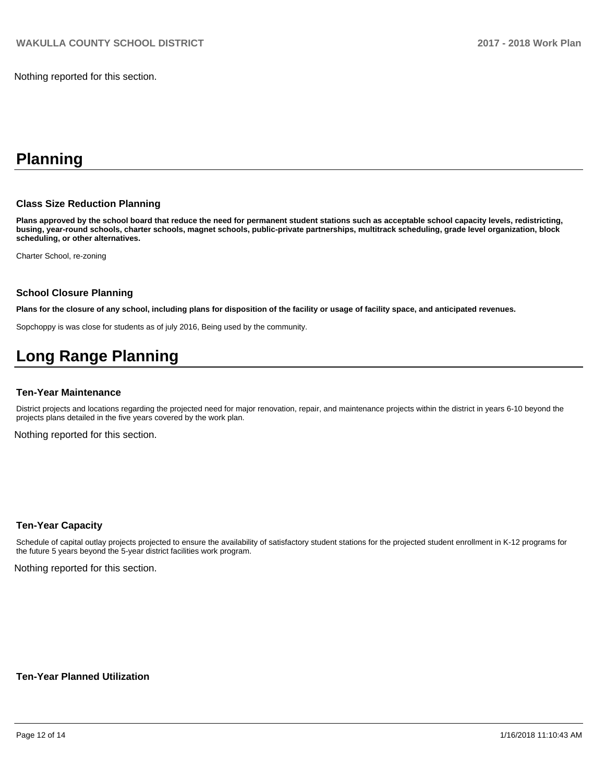Nothing reported for this section.

## **Planning**

#### **Class Size Reduction Planning**

**Plans approved by the school board that reduce the need for permanent student stations such as acceptable school capacity levels, redistricting, busing, year-round schools, charter schools, magnet schools, public-private partnerships, multitrack scheduling, grade level organization, block scheduling, or other alternatives.**

Charter School, re-zoning

#### **School Closure Planning**

**Plans for the closure of any school, including plans for disposition of the facility or usage of facility space, and anticipated revenues.** 

Sopchoppy is was close for students as of july 2016, Being used by the community.

# **Long Range Planning**

#### **Ten-Year Maintenance**

District projects and locations regarding the projected need for major renovation, repair, and maintenance projects within the district in years 6-10 beyond the projects plans detailed in the five years covered by the work plan.

Nothing reported for this section.

#### **Ten-Year Capacity**

Schedule of capital outlay projects projected to ensure the availability of satisfactory student stations for the projected student enrollment in K-12 programs for the future 5 years beyond the 5-year district facilities work program.

Nothing reported for this section.

**Ten-Year Planned Utilization**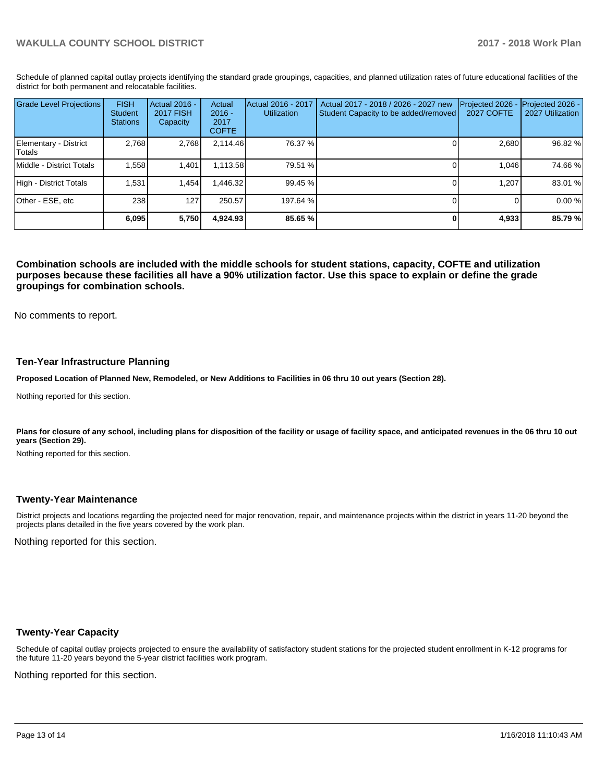Schedule of planned capital outlay projects identifying the standard grade groupings, capacities, and planned utilization rates of future educational facilities of the district for both permanent and relocatable facilities.

| <b>Grade Level Projections</b>   | <b>FISH</b><br>Student<br><b>Stations</b> | Actual 2016 -<br><b>2017 FISH</b><br>Capacity | Actual<br>$2016 -$<br>2017<br><b>COFTE</b> | Actual 2016 - 2017<br><b>Utilization</b> | Actual 2017 - 2018 / 2026 - 2027 new<br>Student Capacity to be added/removed | Projected 2026<br>2027 COFTE | Projected 2026 -<br>2027 Utilization |
|----------------------------------|-------------------------------------------|-----------------------------------------------|--------------------------------------------|------------------------------------------|------------------------------------------------------------------------------|------------------------------|--------------------------------------|
| Elementary - District<br> Totals | 2.768                                     | 2,768                                         | 2,114.46                                   | 76.37 %                                  |                                                                              | 2,680                        | 96.82 %                              |
| Middle - District Totals         | 1.558                                     | 1.401                                         | 1.113.58                                   | 79.51 %                                  |                                                                              | 1.046                        | 74.66 %                              |
| High - District Totals           | 1.531                                     | 1.454                                         | .446.32                                    | 99.45 %                                  |                                                                              | 1.207                        | 83.01 %                              |
| Other - ESE, etc                 | 238                                       | 127                                           | 250.57                                     | 197.64 %                                 |                                                                              |                              | 0.00%                                |
|                                  | 6,095                                     | 5,750                                         | 4,924.93                                   | 85.65 %                                  |                                                                              | 4,933                        | 85.79 %                              |

**Combination schools are included with the middle schools for student stations, capacity, COFTE and utilization purposes because these facilities all have a 90% utilization factor. Use this space to explain or define the grade groupings for combination schools.** 

No comments to report.

#### **Ten-Year Infrastructure Planning**

**Proposed Location of Planned New, Remodeled, or New Additions to Facilities in 06 thru 10 out years (Section 28).**

Nothing reported for this section.

Plans for closure of any school, including plans for disposition of the facility or usage of facility space, and anticipated revenues in the 06 thru 10 out **years (Section 29).**

Nothing reported for this section.

#### **Twenty-Year Maintenance**

District projects and locations regarding the projected need for major renovation, repair, and maintenance projects within the district in years 11-20 beyond the projects plans detailed in the five years covered by the work plan.

Nothing reported for this section.

### **Twenty-Year Capacity**

Schedule of capital outlay projects projected to ensure the availability of satisfactory student stations for the projected student enrollment in K-12 programs for the future 11-20 years beyond the 5-year district facilities work program.

Nothing reported for this section.